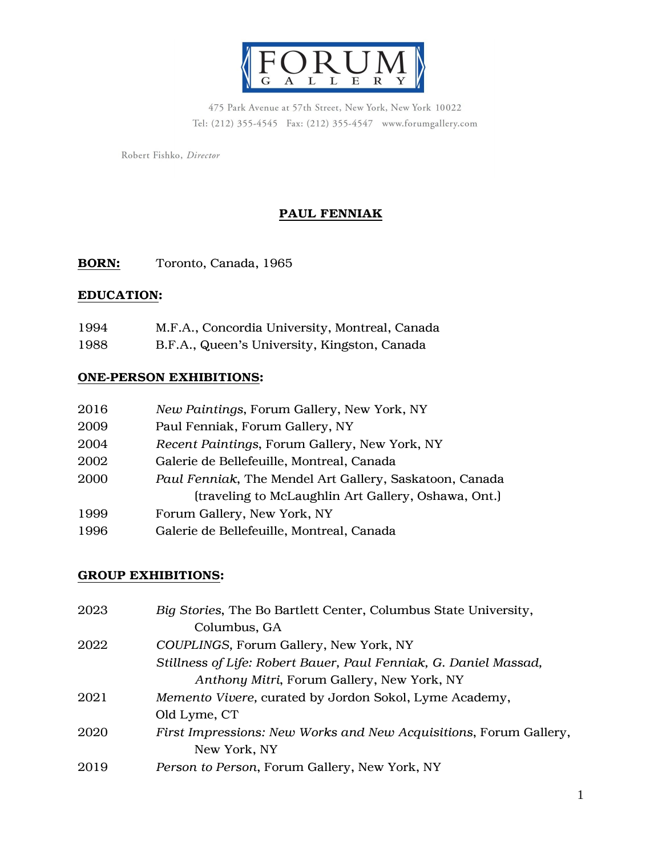

475 Park Avenue at 57th Street, New York, New York 10022 Tel: (212) 355-4545 Fax: (212) 355-4547 www.forumgallery.com

Robert Fishko, Director

# PAUL FENNIAK

BORN: Toronto, Canada, 1965

## EDUCATION:

| 1994 | M.F.A., Concordia University, Montreal, Canada |
|------|------------------------------------------------|
| 1988 | B.F.A., Queen's University, Kingston, Canada   |

## ONE-PERSON EXHIBITIONS:

| 2016 | New Paintings, Forum Gallery, New York, NY              |
|------|---------------------------------------------------------|
| 2009 | Paul Fenniak, Forum Gallery, NY                         |
| 2004 | Recent Paintings, Forum Gallery, New York, NY           |
| 2002 | Galerie de Bellefeuille, Montreal, Canada               |
| 2000 | Paul Fenniak, The Mendel Art Gallery, Saskatoon, Canada |
|      | (traveling to McLaughlin Art Gallery, Oshawa, Ont.)     |
| 1999 | Forum Gallery, New York, NY                             |
| 1996 | Galerie de Bellefeuille, Montreal, Canada               |

## GROUP EXHIBITIONS:

| 2023 | Big Stories, The Bo Bartlett Center, Columbus State University,   |
|------|-------------------------------------------------------------------|
|      | Columbus, GA                                                      |
| 2022 | COUPLINGS, Forum Gallery, New York, NY                            |
|      | Stillness of Life: Robert Bauer, Paul Fenniak, G. Daniel Massad,  |
|      | Anthony Mitri, Forum Gallery, New York, NY                        |
| 2021 | Memento Vivere, curated by Jordon Sokol, Lyme Academy,            |
|      | Old Lyme, CT                                                      |
| 2020 | First Impressions: New Works and New Acquisitions, Forum Gallery, |
|      | New York, NY                                                      |
| 2019 | Person to Person, Forum Gallery, New York, NY                     |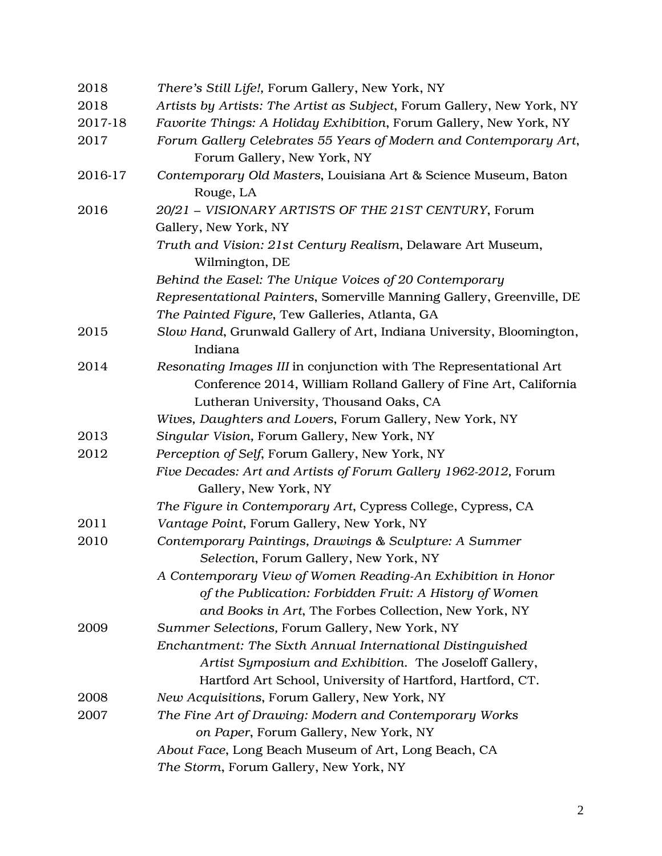| 2018    | There's Still Life!, Forum Gallery, New York, NY                                                                                                                                |
|---------|---------------------------------------------------------------------------------------------------------------------------------------------------------------------------------|
| 2018    | Artists by Artists: The Artist as Subject, Forum Gallery, New York, NY                                                                                                          |
| 2017-18 | Favorite Things: A Holiday Exhibition, Forum Gallery, New York, NY                                                                                                              |
| 2017    | Forum Gallery Celebrates 55 Years of Modern and Contemporary Art,<br>Forum Gallery, New York, NY                                                                                |
| 2016-17 | Contemporary Old Masters, Louisiana Art & Science Museum, Baton<br>Rouge, LA                                                                                                    |
| 2016    | 20/21 - VISIONARY ARTISTS OF THE 21ST CENTURY, Forum                                                                                                                            |
|         | Gallery, New York, NY                                                                                                                                                           |
|         | Truth and Vision: 21st Century Realism, Delaware Art Museum,<br>Wilmington, DE                                                                                                  |
|         | Behind the Easel: The Unique Voices of 20 Contemporary                                                                                                                          |
|         | Representational Painters, Somerville Manning Gallery, Greenville, DE                                                                                                           |
|         | The Painted Figure, Tew Galleries, Atlanta, GA                                                                                                                                  |
| 2015    | Slow Hand, Grunwald Gallery of Art, Indiana University, Bloomington,<br>Indiana                                                                                                 |
| 2014    | Resonating Images III in conjunction with The Representational Art                                                                                                              |
|         | Conference 2014, William Rolland Gallery of Fine Art, California                                                                                                                |
|         | Lutheran University, Thousand Oaks, CA                                                                                                                                          |
|         | Wives, Daughters and Lovers, Forum Gallery, New York, NY                                                                                                                        |
| 2013    | Singular Vision, Forum Gallery, New York, NY                                                                                                                                    |
| 2012    | Perception of Self, Forum Gallery, New York, NY                                                                                                                                 |
|         | Five Decades: Art and Artists of Forum Gallery 1962-2012, Forum<br>Gallery, New York, NY                                                                                        |
|         | The Figure in Contemporary Art, Cypress College, Cypress, CA                                                                                                                    |
| 2011    | Vantage Point, Forum Gallery, New York, NY                                                                                                                                      |
| 2010    | Contemporary Paintings, Drawings & Sculpture: A Summer<br>Selection, Forum Gallery, New York, NY                                                                                |
|         | A Contemporary View of Women Reading-An Exhibition in Honor<br>of the Publication: Forbidden Fruit: A History of Women<br>and Books in Art, The Forbes Collection, New York, NY |
| 2009    | Summer Selections, Forum Gallery, New York, NY                                                                                                                                  |
|         | Enchantment: The Sixth Annual International Distinguished                                                                                                                       |
|         | Artist Symposium and Exhibition. The Joseloff Gallery,                                                                                                                          |
|         | Hartford Art School, University of Hartford, Hartford, CT.                                                                                                                      |
| 2008    | New Acquisitions, Forum Gallery, New York, NY                                                                                                                                   |
| 2007    | The Fine Art of Drawing: Modern and Contemporary Works                                                                                                                          |
|         | on Paper, Forum Gallery, New York, NY                                                                                                                                           |
|         | About Face, Long Beach Museum of Art, Long Beach, CA                                                                                                                            |
|         | The Storm, Forum Gallery, New York, NY                                                                                                                                          |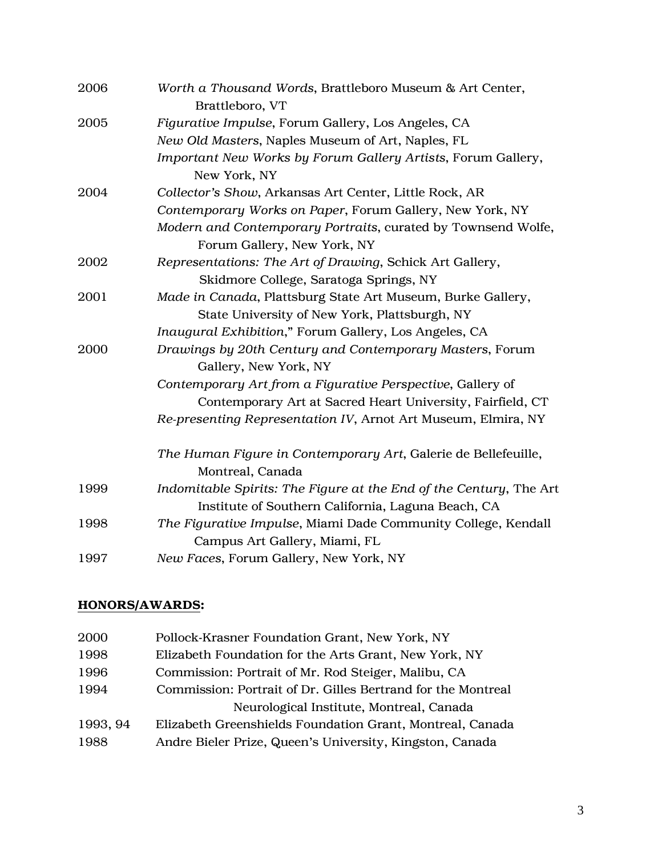| 2006 | Worth a Thousand Words, Brattleboro Museum & Art Center,<br>Brattleboro, VT        |
|------|------------------------------------------------------------------------------------|
| 2005 | Figurative Impulse, Forum Gallery, Los Angeles, CA                                 |
|      | New Old Masters, Naples Museum of Art, Naples, FL                                  |
|      | Important New Works by Forum Gallery Artists, Forum Gallery,<br>New York, NY       |
| 2004 | Collector's Show, Arkansas Art Center, Little Rock, AR                             |
|      | Contemporary Works on Paper, Forum Gallery, New York, NY                           |
|      | Modern and Contemporary Portraits, curated by Townsend Wolfe,                      |
|      | Forum Gallery, New York, NY                                                        |
| 2002 | Representations: The Art of Drawing, Schick Art Gallery,                           |
|      | Skidmore College, Saratoga Springs, NY                                             |
| 2001 | Made in Canada, Plattsburg State Art Museum, Burke Gallery,                        |
|      | State University of New York, Plattsburgh, NY                                      |
|      | Inaugural Exhibition," Forum Gallery, Los Angeles, CA                              |
| 2000 | Drawings by 20th Century and Contemporary Masters, Forum                           |
|      | Gallery, New York, NY                                                              |
|      | Contemporary Art from a Figurative Perspective, Gallery of                         |
|      | Contemporary Art at Sacred Heart University, Fairfield, CT                         |
|      | Re-presenting Representation IV, Arnot Art Museum, Elmira, NY                      |
|      | The Human Figure in Contemporary Art, Galerie de Bellefeuille,<br>Montreal, Canada |
| 1999 | Indomitable Spirits: The Figure at the End of the Century, The Art                 |
|      | Institute of Southern California, Laguna Beach, CA                                 |
| 1998 | The Figurative Impulse, Miami Dade Community College, Kendall                      |
|      | Campus Art Gallery, Miami, FL                                                      |
| 1997 | New Faces, Forum Gallery, New York, NY                                             |

# HONORS/AWARDS:

| 2000     | Pollock-Krasner Foundation Grant, New York, NY               |
|----------|--------------------------------------------------------------|
| 1998     | Elizabeth Foundation for the Arts Grant, New York, NY        |
| 1996     | Commission: Portrait of Mr. Rod Steiger, Malibu, CA          |
| 1994     | Commission: Portrait of Dr. Gilles Bertrand for the Montreal |
|          | Neurological Institute, Montreal, Canada                     |
| 1993, 94 | Elizabeth Greenshields Foundation Grant, Montreal, Canada    |
| 1988     | Andre Bieler Prize, Queen's University, Kingston, Canada     |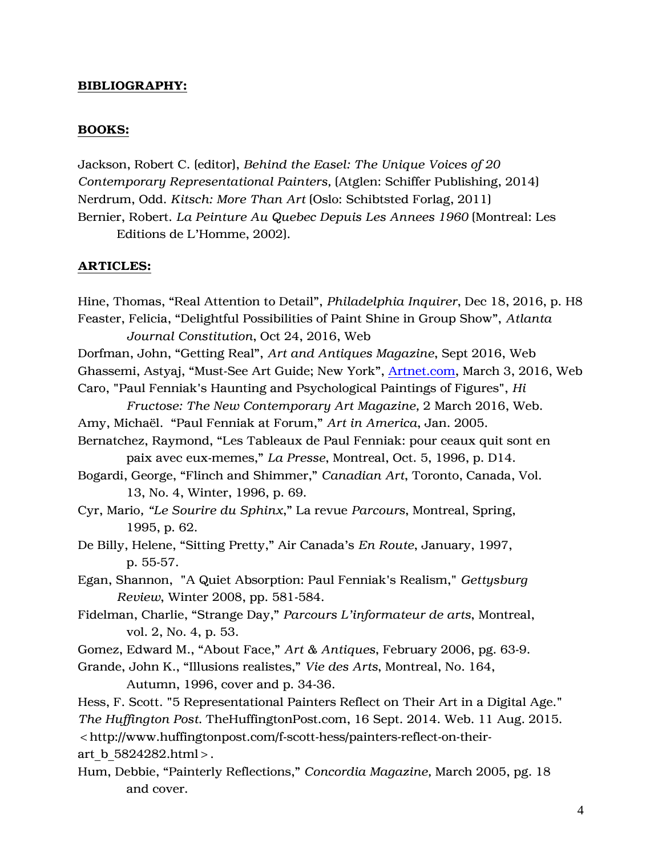### BIBLIOGRAPHY:

#### BOOKS:

Jackson, Robert C. (editor), *Behind the Easel: The Unique Voices of 20 Contemporary Representational Painters,* (Atglen: Schiffer Publishing, 2014) Nerdrum, Odd. *Kitsch: More Than Art* (Oslo: Schibtsted Forlag, 2011) Bernier, Robert. *La Peinture Au Quebec Depuis Les Annees 1960* (Montreal: Les Editions de L'Homme, 2002).

#### ARTICLES:

Hine, Thomas, "Real Attention to Detail", *Philadelphia Inquirer*, Dec 18, 2016, p. H8 Feaster, Felicia, "Delightful Possibilities of Paint Shine in Group Show", *Atlanta Journal Constitution*, Oct 24, 2016, Web Dorfman, John, "Getting Real", *Art and Antiques Magazine*, Sept 2016, Web Ghassemi, Astyaj, "Must-See Art Guide; New York", [Artnet.com,](http://artnet.com/) March 3, 2016, Web Caro, "Paul Fenniak's Haunting and Psychological Paintings of Figures", *Hi Fructose: The New Contemporary Art Magazine,* 2 March 2016, Web. Amy, Michaël. "Paul Fenniak at Forum," *Art in America*, Jan. 2005. Bernatchez, Raymond, "Les Tableaux de Paul Fenniak: pour ceaux quit sont en paix avec eux-memes," *La Presse*, Montreal, Oct. 5, 1996, p. D14. Bogardi, George, "Flinch and Shimmer," *Canadian Art*, Toronto, Canada, Vol. 13, No. 4, Winter, 1996, p. 69. Cyr, Mario*, "Le Sourire du Sphinx*," La revue *Parcours*, Montreal, Spring, 1995, p. 62. De Billy, Helene, "Sitting Pretty," Air Canada's *En Route*, January, 1997, p. 55-57. Egan, Shannon, "A Quiet Absorption: Paul Fenniak's Realism," *Gettysburg Review*, Winter 2008, pp. 581-584. Fidelman, Charlie, "Strange Day," *Parcours L'informateur de arts*, Montreal, vol. 2, No. 4, p. 53. Gomez, Edward M., "About Face," *Art & Antiques*, February 2006, pg. 63-9. Grande, John K., "Illusions realistes," *Vie des Arts*, Montreal, No. 164, Autumn, 1996, cover and p. 34-36. Hess, F. Scott. "5 Representational Painters Reflect on Their Art in a Digital Age." *The Huffington Post*. TheHuffingtonPost.com, 16 Sept. 2014. Web. 11 Aug. 2015. <http://www.huffingtonpost.com/f-scott-hess/painters-reflect-on-theirart b 5824282.html>. Hum, Debbie, "Painterly Reflections," *Concordia Magazine,* March 2005, pg. 18 and cover.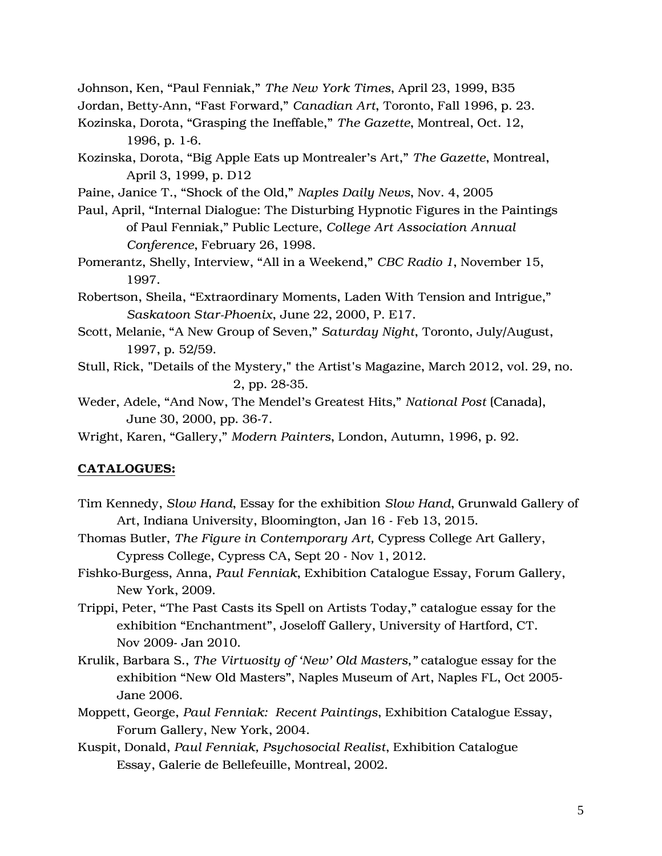Johnson, Ken, "Paul Fenniak," *The New York Times*, April 23, 1999, B35

Jordan, Betty-Ann, "Fast Forward," *Canadian Art*, Toronto, Fall 1996, p. 23.

Kozinska, Dorota, "Grasping the Ineffable," *The Gazette*, Montreal, Oct. 12, 1996, p. 1-6.

Kozinska, Dorota, "Big Apple Eats up Montrealer's Art," *The Gazette*, Montreal, April 3, 1999, p. D12

- Paine, Janice T., "Shock of the Old," *Naples Daily News*, Nov. 4, 2005
- Paul, April, "Internal Dialogue: The Disturbing Hypnotic Figures in the Paintings of Paul Fenniak," Public Lecture, *College Art Association Annual Conference*, February 26, 1998.
- Pomerantz, Shelly, Interview, "All in a Weekend," *CBC Radio 1*, November 15, 1997.
- Robertson, Sheila, "Extraordinary Moments, Laden With Tension and Intrigue," *Saskatoon Star-Phoenix*, June 22, 2000, P. E17.
- Scott, Melanie, "A New Group of Seven," *Saturday Night*, Toronto, July/August, 1997, p. 52/59.
- Stull, Rick, "Details of the Mystery," the Artist's Magazine, March 2012, vol. 29, no. 2, pp. 28-35.
- Weder, Adele, "And Now, The Mendel's Greatest Hits," *National Post* (Canada), June 30, 2000, pp. 36-7.

Wright, Karen, "Gallery," *Modern Painters*, London, Autumn, 1996, p. 92.

#### CATALOGUES:

- Tim Kennedy, *Slow Hand*, Essay for the exhibition *Slow Hand*, Grunwald Gallery of Art, Indiana University, Bloomington, Jan 16 - Feb 13, 2015.
- Thomas Butler, *The Figure in Contemporary Art,* Cypress College Art Gallery, Cypress College, Cypress CA, Sept 20 - Nov 1, 2012.
- Fishko-Burgess, Anna, *Paul Fenniak*, Exhibition Catalogue Essay, Forum Gallery, New York, 2009.
- Trippi, Peter, "The Past Casts its Spell on Artists Today," catalogue essay for the exhibition "Enchantment", Joseloff Gallery, University of Hartford, CT. Nov 2009- Jan 2010.
- Krulik, Barbara S., *The Virtuosity of 'New' Old Masters,"* catalogue essay for the exhibition "New Old Masters", Naples Museum of Art, Naples FL, Oct 2005- Jane 2006.
- Moppett, George, *Paul Fenniak: Recent Paintings*, Exhibition Catalogue Essay, Forum Gallery, New York, 2004.
- Kuspit, Donald, *Paul Fenniak, Psychosocial Realist*, Exhibition Catalogue Essay, Galerie de Bellefeuille, Montreal, 2002.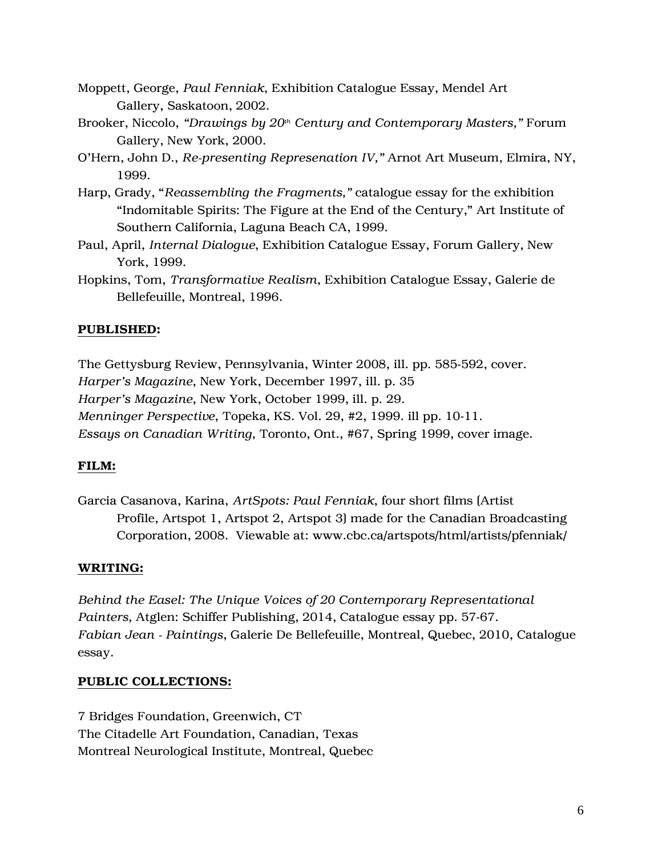- Moppett, George, *Paul Fenniak*, Exhibition Catalogue Essay, Mendel Art Gallery, Saskatoon, 2002.
- Brooker, Niccolo, *"Drawings by 20th Century and Contemporary Masters,"* Forum Gallery, New York, 2000.
- O'Hern, John D., *Re-presenting Represenation IV,"* Arnot Art Museum, Elmira, NY, 1999.
- Harp, Grady, "*Reassembling the Fragments,"* catalogue essay for the exhibition "Indomitable Spirits: The Figure at the End of the Century," Art Institute of Southern California, Laguna Beach CA, 1999.
- Paul, April, *Internal Dialogue*, Exhibition Catalogue Essay, Forum Gallery, New York, 1999.
- Hopkins, Tom, *Transformative Realism*, Exhibition Catalogue Essay, Galerie de Bellefeuille, Montreal, 1996.

## PUBLISHED:

The Gettysburg Review, Pennsylvania, Winter 2008, ill. pp. 585-592, cover. *Harper's Magazine*, New York, December 1997, ill. p. 35 *Harper's Magazine*, New York, October 1999, ill. p. 29. *Menninger Perspective*, Topeka, KS. Vol. 29, #2, 1999. ill pp. 10-11. *Essays on Canadian Writing*, Toronto, Ont., #67, Spring 1999, cover image.

## FILM:

Garcia Casanova, Karina, *ArtSpots: Paul Fenniak*, four short films (Artist Profile, Artspot 1, Artspot 2, Artspot 3) made for the Canadian Broadcasting Corporation, 2008. Viewable at: www.cbc.ca/artspots/html/artists/pfenniak/

### WRITING:

*Behind the Easel: The Unique Voices of 20 Contemporary Representational Painters,* Atglen: Schiffer Publishing, 2014, Catalogue essay pp. 57-67. *Fabian Jean - Paintings*, Galerie De Bellefeuille, Montreal, Quebec, 2010, Catalogue essay.

### PUBLIC COLLECTIONS:

7 Bridges Foundation, Greenwich, CT The Citadelle Art Foundation, Canadian, Texas Montreal Neurological Institute, Montreal, Quebec